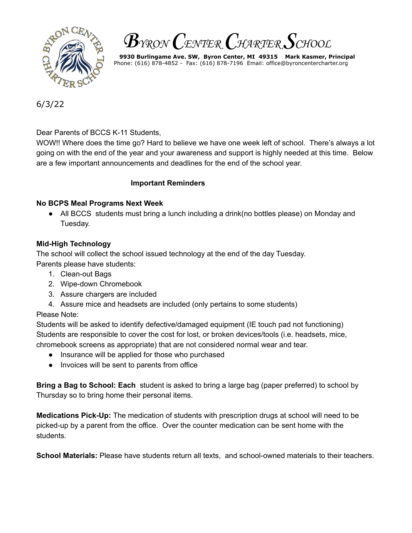

**B**YRON **C**ENTER **C**HARTER **S**CHOOL

**9930 Burlingame Ave. SW, Byron Center, MI 49315 Mark Kasmer, Principal** Phone: (616) 878-4852 - Fax: (616) 878-7196 Email: office@byroncentercharter.org

6/3/22

Dear Parents of BCCS K-11 Students,

WOW!! Where does the time go? Hard to believe we have one week left of school. There's always a lot going on with the end of the year and your awareness and support is highly needed at this time. Below are a few important announcements and deadlines for the end of the school year.

#### **Important Reminders**

#### **No BCPS Meal Programs Next Week**

● All BCCS students must bring a lunch including a drink(no bottles please) on Monday and Tuesday.

#### **Mid-High Technology**

The school will collect the school issued technology at the end of the day Tuesday.

Parents please have students:

- 1. Clean-out Bags
- 2. Wipe-down Chromebook
- 3. Assure chargers are included
- 4. Assure mice and headsets are included (only pertains to some students)

## Please Note:

Students will be asked to identify defective/damaged equipment (IE touch pad not functioning) Students are responsible to cover the cost for lost, or broken devices/tools (i.e. headsets, mice, chromebook screens as appropriate) that are not considered normal wear and tear.

- Insurance will be applied for those who purchased
- Invoices will be sent to parents from office

**Bring a Bag to School: Each** student is asked to bring a large bag (paper preferred) to school by Thursday so to bring home their personal items.

**Medications Pick-Up:** The medication of students with prescription drugs at school will need to be picked-up by a parent from the office. Over the counter medication can be sent home with the students.

**School Materials:** Please have students return all texts, and school-owned materials to their teachers.